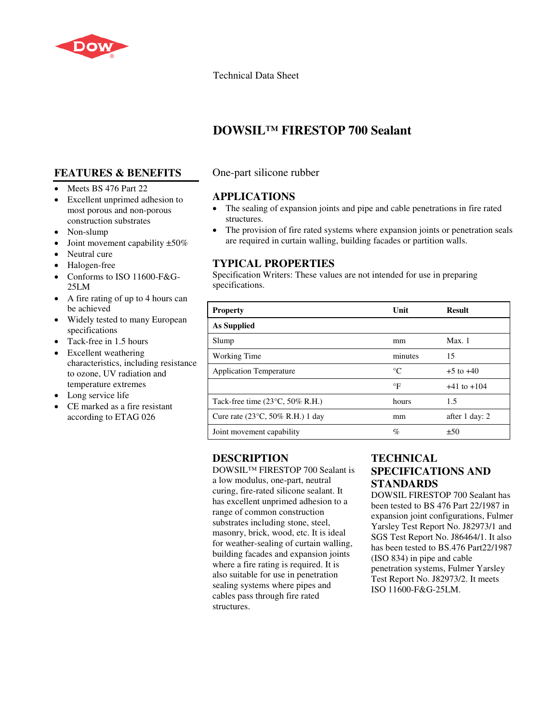

### Technical Data Sheet

# **DOWSIL™ FIRESTOP 700 Sealant**

# **FEATURES & BENEFITS**

- Meets BS 476 Part 22
- Excellent unprimed adhesion to most porous and non-porous construction substrates
- Non-slump
- Joint movement capability  $\pm 50\%$
- Neutral cure
- Halogen-free
- Conforms to ISO 11600-F&G-25LM
- A fire rating of up to 4 hours can be achieved
- Widely tested to many European specifications
- Tack-free in 1.5 hours
- Excellent weathering characteristics, including resistance to ozone, UV radiation and temperature extremes
- Long service life
- CE marked as a fire resistant according to ETAG 026

### One-part silicone rubber

### **APPLICATIONS**

- The sealing of expansion joints and pipe and cable penetrations in fire rated structures.
- The provision of fire rated systems where expansion joints or penetration seals are required in curtain walling, building facades or partition walls.

## **TYPICAL PROPERTIES**

Specification Writers: These values are not intended for use in preparing specifications.

| <b>Property</b>                                   | Unit        | <b>Result</b>   |
|---------------------------------------------------|-------------|-----------------|
| As Supplied                                       |             |                 |
| Slump                                             | mm          | Max.1           |
| Working Time                                      | minutes     | 15              |
| <b>Application Temperature</b>                    | $^{\circ}C$ | $+5$ to $+40$   |
|                                                   | $\circ$ F   | $+41$ to $+104$ |
| Tack-free time $(23^{\circ}C, 50\% \text{ R.H.})$ | hours       | 1.5             |
| Cure rate $(23^{\circ}C, 50\%$ R.H.) 1 day        | mm          | after 1 day: 2  |
| Joint movement capability                         | %           | ±50             |

### **DESCRIPTION**

DOWSIL™ FIRESTOP 700 Sealant is a low modulus, one-part, neutral curing, fire-rated silicone sealant. It has excellent unprimed adhesion to a range of common construction substrates including stone, steel, masonry, brick, wood, etc. It is ideal for weather-sealing of curtain walling, building facades and expansion joints where a fire rating is required. It is also suitable for use in penetration sealing systems where pipes and cables pass through fire rated structures.

# **TECHNICAL SPECIFICATIONS AND STANDARDS**

DOWSIL FIRESTOP 700 Sealant has been tested to BS 476 Part 22/1987 in expansion joint configurations, Fulmer Yarsley Test Report No. J82973/1 and SGS Test Report No. J86464/1. It also has been tested to BS.476 Part22/1987 (ISO 834) in pipe and cable penetration systems, Fulmer Yarsley Test Report No. J82973/2. It meets ISO 11600-F&G-25LM.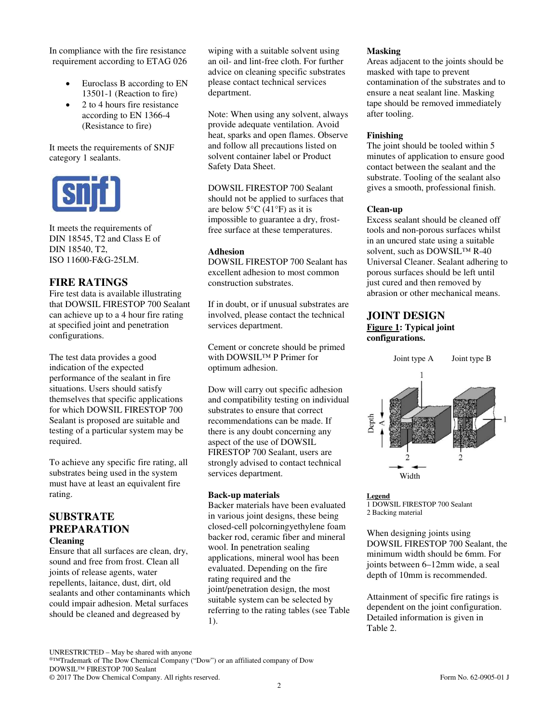In compliance with the fire resistance requirement according to ETAG 026

- Euroclass B according to EN 13501-1 (Reaction to fire)
- 2 to 4 hours fire resistance according to EN 1366-4 (Resistance to fire)

It meets the requirements of SNJF category 1 sealants.



It meets the requirements of DIN 18545, T2 and Class E of DIN 18540, T2, ISO 11600-F&G-25LM.

### **FIRE RATINGS**

Fire test data is available illustrating that DOWSIL FIRESTOP 700 Sealant can achieve up to a 4 hour fire rating at specified joint and penetration configurations.

The test data provides a good indication of the expected performance of the sealant in fire situations. Users should satisfy themselves that specific applications for which DOWSIL FIRESTOP 700 Sealant is proposed are suitable and testing of a particular system may be required.

To achieve any specific fire rating, all substrates being used in the system must have at least an equivalent fire rating.

# **SUBSTRATE PREPARATION**

**Cleaning**

Ensure that all surfaces are clean, dry, sound and free from frost. Clean all joints of release agents, water repellents, laitance, dust, dirt, old sealants and other contaminants which could impair adhesion. Metal surfaces should be cleaned and degreased by

wiping with a suitable solvent using an oil- and lint-free cloth. For further advice on cleaning specific substrates please contact technical services department.

Note: When using any solvent, always provide adequate ventilation. Avoid heat, sparks and open flames. Observe and follow all precautions listed on solvent container label or Product Safety Data Sheet.

DOWSIL FIRESTOP 700 Sealant should not be applied to surfaces that are below  $5^{\circ}$ C (41 $^{\circ}$ F) as it is impossible to guarantee a dry, frostfree surface at these temperatures.

#### **Adhesion**

DOWSIL FIRESTOP 700 Sealant has excellent adhesion to most common construction substrates.

If in doubt, or if unusual substrates are involved, please contact the technical services department.

Cement or concrete should be primed with DOWSIL™ P Primer for optimum adhesion.

Dow will carry out specific adhesion and compatibility testing on individual substrates to ensure that correct recommendations can be made. If there is any doubt concerning any aspect of the use of DOWSIL FIRESTOP 700 Sealant, users are strongly advised to contact technical services department.

#### **Back-up materials**

Backer materials have been evaluated in various joint designs, these being closed-cell polcorningyethylene foam backer rod, ceramic fiber and mineral wool. In penetration sealing applications, mineral wool has been evaluated. Depending on the fire rating required and the joint/penetration design, the most suitable system can be selected by referring to the rating tables (see Table 1).

**Masking**

Areas adjacent to the joints should be masked with tape to prevent contamination of the substrates and to ensure a neat sealant line. Masking tape should be removed immediately after tooling.

#### **Finishing**

The joint should be tooled within 5 minutes of application to ensure good contact between the sealant and the substrate. Tooling of the sealant also gives a smooth, professional finish.

#### **Clean-up**

Excess sealant should be cleaned off tools and non-porous surfaces whilst in an uncured state using a suitable solvent, such as DOWSIL™ R-40 Universal Cleaner. Sealant adhering to porous surfaces should be left until just cured and then removed by abrasion or other mechanical means.

### **JOINT DESIGN Figure 1: Typical joint**

# **configurations.**



**Legend** 1 DOWSIL FIRESTOP 700 Sealant 2 Backing material

When designing joints using DOWSIL FIRESTOP 700 Sealant, the minimum width should be 6mm. For joints between 6–12mm wide, a seal depth of 10mm is recommended.

Attainment of specific fire ratings is dependent on the joint configuration. Detailed information is given in Table 2.

®™Trademark of The Dow Chemical Company ("Dow") or an affiliated company of Dow DOWSIL™ FIRESTOP 700 Sealant

UNRESTRICTED – May be shared with anyone

<sup>© 2017</sup> The Dow Chemical Company. All rights reserved. Form No. 62-0905-01 J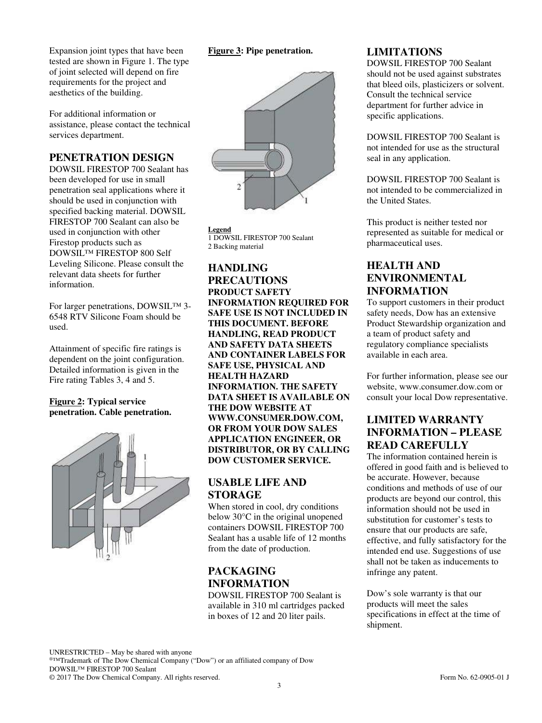Expansion joint types that have been tested are shown in Figure 1. The type of joint selected will depend on fire requirements for the project and aesthetics of the building.

For additional information or assistance, please contact the technical services department.

## **PENETRATION DESIGN**

DOWSIL FIRESTOP 700 Sealant has been developed for use in small penetration seal applications where it should be used in conjunction with specified backing material. DOWSIL FIRESTOP 700 Sealant can also be used in conjunction with other Firestop products such as DOWSIL™ FIRESTOP 800 Self Leveling Silicone. Please consult the relevant data sheets for further information.

For larger penetrations, DOWSIL™ 3- 6548 RTV Silicone Foam should be used.

Attainment of specific fire ratings is dependent on the joint configuration. Detailed information is given in the Fire rating Tables 3, 4 and 5.

#### **Figure 2: Typical service penetration. Cable penetration.**



### **Figure 3: Pipe penetration.**



**Legend** 1 DOWSIL FIRESTOP 700 Sealant 2 Backing material

**HANDLING PRECAUTIONS PRODUCT SAFETY INFORMATION REQUIRED FOR SAFE USE IS NOT INCLUDED IN THIS DOCUMENT. BEFORE HANDLING, READ PRODUCT AND SAFETY DATA SHEETS AND CONTAINER LABELS FOR SAFE USE, PHYSICAL AND HEALTH HAZARD INFORMATION. THE SAFETY DATA SHEET IS AVAILABLE ON THE DOW WEBSITE AT WWW.CONSUMER.DOW.COM, OR FROM YOUR DOW SALES APPLICATION ENGINEER, OR DISTRIBUTOR, OR BY CALLING DOW CUSTOMER SERVICE.** 

## **USABLE LIFE AND STORAGE**

When stored in cool, dry conditions below 30°C in the original unopened containers DOWSIL FIRESTOP 700 Sealant has a usable life of 12 months from the date of production.

# **PACKAGING INFORMATION**

DOWSIL FIRESTOP 700 Sealant is available in 310 ml cartridges packed in boxes of 12 and 20 liter pails.

### **LIMITATIONS**

DOWSIL FIRESTOP 700 Sealant should not be used against substrates that bleed oils, plasticizers or solvent. Consult the technical service department for further advice in specific applications.

DOWSIL FIRESTOP 700 Sealant is not intended for use as the structural seal in any application.

DOWSIL FIRESTOP 700 Sealant is not intended to be commercialized in the United States.

This product is neither tested nor represented as suitable for medical or pharmaceutical uses.

## **HEALTH AND ENVIRONMENTAL INFORMATION**

To support customers in their product safety needs, Dow has an extensive Product Stewardship organization and a team of product safety and regulatory compliance specialists available in each area.

For further information, please see our website, www.consumer.dow.com or consult your local Dow representative.

# **LIMITED WARRANTY INFORMATION – PLEASE READ CAREFULLY**

The information contained herein is offered in good faith and is believed to be accurate. However, because conditions and methods of use of our products are beyond our control, this information should not be used in substitution for customer's tests to ensure that our products are safe, effective, and fully satisfactory for the intended end use. Suggestions of use shall not be taken as inducements to infringe any patent.

Dow's sole warranty is that our products will meet the sales specifications in effect at the time of shipment.

UNRESTRICTED – May be shared with anyone ®™Trademark of The Dow Chemical Company ("Dow") or an affiliated company of Dow DOWSIL™ FIRESTOP 700 Sealant © 2017 The Dow Chemical Company. All rights reserved. Form No. 62-0905-01 J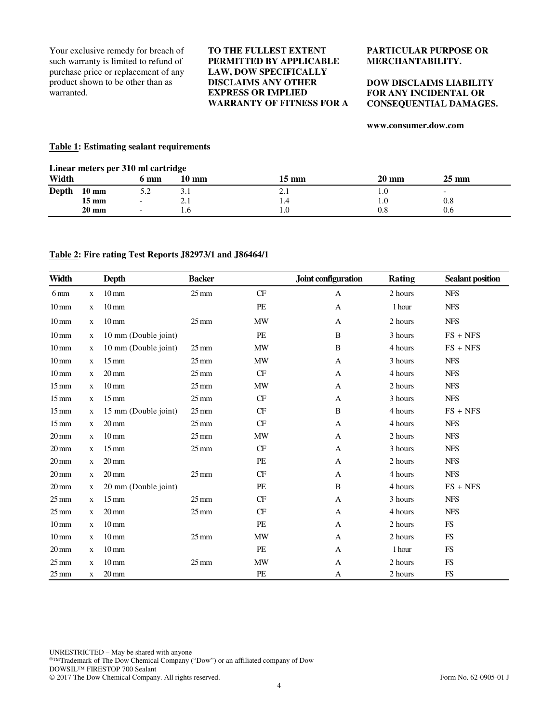Your exclusive remedy for breach of such warranty is limited to refund of purchase price or replacement of any product shown to be other than as warranted.

#### **TO THE FULLEST EXTENT PERMITTED BY APPLICABLE LAW, DOW SPECIFICALLY DISCLAIMS ANY OTHER EXPRESS OR IMPLIED WARRANTY OF FITNESS FOR A**

#### **PARTICULAR PURPOSE OR MERCHANTABILITY.**

#### **DOW DISCLAIMS LIABILITY FOR ANY INCIDENTAL OR CONSEQUENTIAL DAMAGES.**

#### **www.consumer.dow.com**

#### **Table 1: Estimating sealant requirements**

| Linear meters per 310 ml cartridge |  |  |  |  |
|------------------------------------|--|--|--|--|
|------------------------------------|--|--|--|--|

| Width |                 | 6 mm | $10 \text{ mm}$ | 15 mm      | $20 \text{ mm}$ | $25 \text{ mm}$          |
|-------|-----------------|------|-----------------|------------|-----------------|--------------------------|
| Depth | $10 \text{ mm}$ | J.L  | 3.1             | $\sim$ . 1 | IJ.             | $\overline{\phantom{0}}$ |
|       | $15 \text{ mm}$ | -    | $\angle$ .1     | 1.4        | 1.0             | 0.8                      |
|       | $20 \text{ mm}$ | -    | l.b             | 1.0        | $\rm 0.8$       | 0.6                      |

#### **Table 2: Fire rating Test Reports J82973/1 and J86464/1**

| Width              |              | <b>Depth</b>         | <b>Backer</b>      |           | Joint configuration | <b>Rating</b> | <b>Sealant position</b> |
|--------------------|--------------|----------------------|--------------------|-----------|---------------------|---------------|-------------------------|
| $6 \,\mathrm{mm}$  | $\mathbf X$  | $10 \,\mathrm{mm}$   | $25 \text{ mm}$    | <b>CF</b> | $\mathbf{A}$        | 2 hours       | ${\rm NFS}$             |
| $10 \,\mathrm{mm}$ | $\mathbf x$  | $10 \,\mathrm{mm}$   |                    | PE        | $\mathbf{A}$        | 1 hour        | <b>NFS</b>              |
| $10 \,\mathrm{mm}$ | $\mathbf{x}$ | $10 \,\mathrm{mm}$   | $25 \,\mathrm{mm}$ | <b>MW</b> | A                   | 2 hours       | <b>NFS</b>              |
| $10 \,\mathrm{mm}$ | $\mathbf X$  | 10 mm (Double joint) |                    | PE        | B                   | 3 hours       | $FS + NFS$              |
| $10 \,\mathrm{mm}$ | $\mathbf{x}$ | 10 mm (Double joint) | $25 \,\mathrm{mm}$ | <b>MW</b> | B                   | 4 hours       | $FS + NFS$              |
| $10 \,\mathrm{mm}$ | $\mathbf X$  | $15 \text{ mm}$      | $25 \,\mathrm{mm}$ | <b>MW</b> | $\mathbf{A}$        | 3 hours       | <b>NFS</b>              |
| $10 \,\mathrm{mm}$ | $\mathbf{x}$ | $20 \,\mathrm{mm}$   | $25 \,\mathrm{mm}$ | CF        | $\mathbf{A}$        | 4 hours       | <b>NFS</b>              |
| $15 \,\mathrm{mm}$ | $\mathbf x$  | $10 \,\mathrm{mm}$   | $25 \,\mathrm{mm}$ | <b>MW</b> | $\mathbf{A}$        | 2 hours       | <b>NFS</b>              |
| $15 \,\mathrm{mm}$ | $\mathbf x$  | $15 \,\mathrm{mm}$   | $25 \,\mathrm{mm}$ | CF        | $\mathbf{A}$        | 3 hours       | <b>NFS</b>              |
| $15 \,\mathrm{mm}$ | $\mathbf x$  | 15 mm (Double joint) | $25 \text{ mm}$    | <b>CF</b> | B                   | 4 hours       | $FS + NFS$              |
| $15 \,\mathrm{mm}$ | $\mathbf x$  | $20 \,\mathrm{mm}$   | $25 \,\mathrm{mm}$ | CF        | A                   | 4 hours       | <b>NFS</b>              |
| $20 \,\mathrm{mm}$ | $\mathbf{x}$ | $10 \,\mathrm{mm}$   | $25 \,\mathrm{mm}$ | <b>MW</b> | A                   | 2 hours       | <b>NFS</b>              |
| $20 \,\mathrm{mm}$ | $\mathbf x$  | $15 \text{ mm}$      | $25 \,\mathrm{mm}$ | CF        | $\mathbf{A}$        | 3 hours       | <b>NFS</b>              |
| $20 \,\mathrm{mm}$ | $\mathbf{X}$ | $20 \,\mathrm{mm}$   |                    | PE        | A                   | 2 hours       | <b>NFS</b>              |
| $20 \,\mathrm{mm}$ | $\mathbf{x}$ | $20 \,\mathrm{mm}$   | $25 \,\mathrm{mm}$ | <b>CF</b> | A                   | 4 hours       | <b>NFS</b>              |
| $20 \,\mathrm{mm}$ | $\mathbf{X}$ | 20 mm (Double joint) |                    | PE        | B                   | 4 hours       | $FS + NFS$              |
| $25 \,\mathrm{mm}$ | $\mathbf x$  | $15 \,\mathrm{mm}$   | $25 \,\mathrm{mm}$ | CF        | A                   | 3 hours       | <b>NFS</b>              |
| $25 \,\mathrm{mm}$ | $\mathbf{X}$ | $20 \,\mathrm{mm}$   | $25 \,\mathrm{mm}$ | <b>CF</b> | A                   | 4 hours       | <b>NFS</b>              |
| $10 \,\mathrm{mm}$ | X            | $10 \,\mathrm{mm}$   |                    | PE        | $\mathbf{A}$        | 2 hours       | FS                      |
| $10 \,\mathrm{mm}$ | $\mathbf{X}$ | $10 \,\mathrm{mm}$   | $25 \text{ mm}$    | <b>MW</b> | A                   | 2 hours       | FS                      |
| $20 \,\mathrm{mm}$ | $\mathbf X$  | $10 \,\mathrm{mm}$   |                    | PE        | A                   | 1 hour        | FS                      |
| $25 \,\mathrm{mm}$ | $\mathbf{X}$ | $10 \,\mathrm{mm}$   | $25 \,\mathrm{mm}$ | <b>MW</b> | A                   | 2 hours       | FS                      |
| $25 \,\mathrm{mm}$ | $\mathbf x$  | $20 \,\mathrm{mm}$   |                    | PE        | A                   | 2 hours       | <b>FS</b>               |